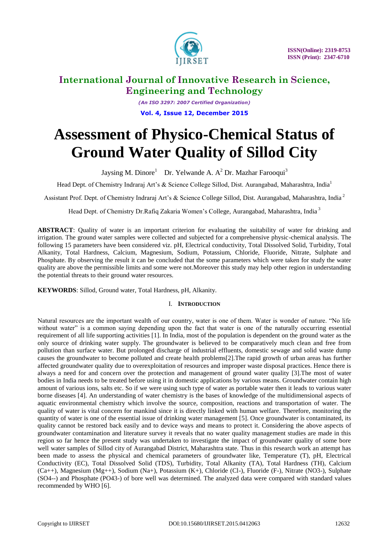

*(An ISO 3297: 2007 Certified Organization)* **Vol. 4, Issue 12, December 2015**

# **Assessment of Physico-Chemical Status of Ground Water Quality of Sillod City**

Jaysing M. Dinore<sup>1</sup> Dr. Yelwande A. A<sup>2</sup> Dr. Mazhar Farooqui<sup>3</sup>

Head Dept. of Chemistry Indraraj Art's & Science College Sillod, Dist. Aurangabad, Maharashtra, India<sup>1</sup>

Assistant Prof. Dept. of Chemistry Indraraj Art's & Science College Sillod, Dist. Aurangabad, Maharashtra, India <sup>2</sup>

Head Dept. of Chemistry Dr.Rafiq Zakaria Women's College, Aurangabad, Maharashtra, India<sup>3</sup>

**ABSTRACT**: Quality of water is an important criterion for evaluating the suitability of water for drinking and irrigation. The ground water samples were collected and subjected for a comprehensive physic-chemical analysis. The following 15 parameters have been considered viz. pH, Electrical conductivity, Total Dissolved Solid, Turbidity, Total Alkanity, Total Hardness, Calcium, Magnesium, Sodium, Potassium, Chloride, Fluoride, Nitrate, Sulphate and Phosphate. By observing the result it can be concluded that the some parameters which were taken for study the water quality are above the permissible limits and some were not.Moreover this study may help other region in understanding the potential threats to their ground water resources.

**KEYWORDS**: Sillod, Ground water, Total Hardness, pH, Alkanity.

### I. **INTRODUCTION**

Natural resources are the important wealth of our country, water is one of them. Water is wonder of nature. "No life without water" is a common saying depending upon the fact that water is one of the naturally occurring essential requirement of all life supporting activities [1]. In India, most of the population is dependent on the ground water as the only source of drinking water supply. The groundwater is believed to be comparatively much clean and free from pollution than surface water. But prolonged discharge of industrial effluents, domestic sewage and solid waste dump causes the groundwater to become polluted and create health problems[2].The rapid growth of urban areas has further affected groundwater quality due to overexploitation of resources and improper waste disposal practices. Hence there is always a need for and concern over the protection and management of ground water quality [3].The most of water bodies in India needs to be treated before using it in domestic applications by various means. Groundwater contain high amount of various ions, salts etc. So if we were using such type of water as portable water then it leads to various water borne diseases [4]. An understanding of water chemistry is the bases of knowledge of the multidimensional aspects of aquatic environmental chemistry which involve the source, composition, reactions and transportation of water. The quality of water is vital concern for mankind since it is directly linked with human welfare. Therefore, monitoring the quantity of water is one of the essential issue of drinking water management [5]. Once groundwater is contaminated, its quality cannot be restored back easily and to device ways and means to protect it. Considering the above aspects of groundwater contamination and literature survey it reveals that no water quality management studies are made in this region so far hence the present study was undertaken to investigate the impact of groundwater quality of some bore well water samples of Sillod city of Aurangabad District, Maharashtra state. Thus in this research work an attempt has been made to assess the physical and chemical parameters of groundwater like, Temperature (T), pH, Electrical Conductivity (EC), Total Dissolved Solid (TDS), Turbidity, Total Alkanity (TA), Total Hardness (TH), Calcium (Ca++), Magnesium (Mg++), Sodium (Na+), Potassium (K+), Chloride (Cl-), Fluoride (F-), Nitrate (NO3-), Sulphate (SO4--) and Phosphate (PO43-) of bore well was determined. The analyzed data were compared with standard values recommended by WHO [6].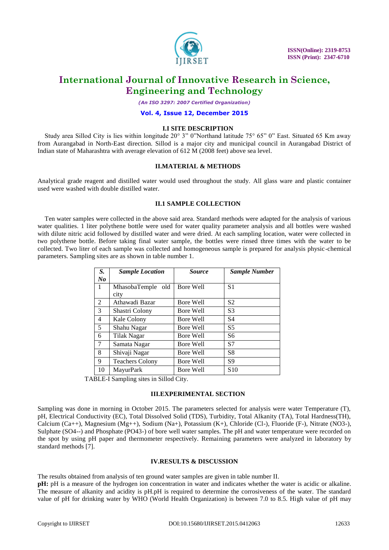

*(An ISO 3297: 2007 Certified Organization)*

#### **Vol. 4, Issue 12, December 2015**

### **I.I SITE DESCRIPTION**

Study area Sillod City is lies within longitude 20° 3" 0"Northand latitude 75° 65" 0" East. Situated 65 Km away from Aurangabad in North-East direction. Sillod is a major city and municipal council in Aurangabad District of Indian state of Maharashtra with average elevation of 612 M (2008 feet) above sea level.

#### **II.MATERIAL & METHODS**

Analytical grade reagent and distilled water would used throughout the study. All glass ware and plastic container used were washed with double distilled water.

### **II.1 SAMPLE COLLECTION**

Ten water samples were collected in the above said area. Standard methods were adapted for the analysis of various water qualities. 1 liter polythene bottle were used for water quality parameter analysis and all bottles were washed with dilute nitric acid followed by distilled water and were dried. At each sampling location, water were collected in two polythene bottle. Before taking final water sample, the bottles were rinsed three times with the water to be collected. Two liter of each sample was collected and homogeneous sample is prepared for analysis physic-chemical parameters. Sampling sites are as shown in table number 1.

| S. | <b>Sample Location</b> | <b>Source</b> | <b>Sample Number</b> |  |  |  |
|----|------------------------|---------------|----------------------|--|--|--|
| No |                        |               |                      |  |  |  |
| 1  | MhasobaTemple old      | Bore Well     | S1                   |  |  |  |
|    | city                   |               |                      |  |  |  |
| 2  | Athawadi Bazar         | Bore Well     | S <sub>2</sub>       |  |  |  |
| 3  | Shastri Colony         | Bore Well     | S <sub>3</sub>       |  |  |  |
| 4  | Kale Colony            | Bore Well     | S <sub>4</sub>       |  |  |  |
| 5  | Shahu Nagar            | Bore Well     | S <sub>5</sub>       |  |  |  |
| 6  | Tilak Nagar            | Bore Well     | S6                   |  |  |  |
| 7  | Samata Nagar           | Bore Well     | S7                   |  |  |  |
| 8  | Shivaji Nagar          | Bore Well     | S <sup>8</sup>       |  |  |  |
| 9  | <b>Teachers Colony</b> | Bore Well     | S9                   |  |  |  |
| 10 | MayurPark              | Bore Well     | S <sub>10</sub>      |  |  |  |

TABLE-I Sampling sites in Sillod City.

#### **III.EXPERIMENTAL SECTION**

Sampling was done in morning in October 2015. The parameters selected for analysis were water Temperature (T), pH, Electrical Conductivity (EC), Total Dissolved Solid (TDS), Turbidity, Total Alkanity (TA), Total Hardness(TH), Calcium (Ca++), Magnesium (Mg++), Sodium (Na+), Potassium (K+), Chloride (Cl-), Fluoride (F-), Nitrate (NO3-), Sulphate (SO4--) and Phosphate (PO43-) of bore well water samples. The pH and water temperature were recorded on the spot by using pH paper and thermometer respectively. Remaining parameters were analyzed in laboratory by standard methods [7].

#### **IV.RESULTS & DISCUSSION**

The results obtained from analysis of ten ground water samples are given in table number II.

**pH:** pH is a measure of the hydrogen ion concentration in water and indicates whether the water is acidic or alkaline. The measure of alkanity and acidity is pH.pH is required to determine the corrosiveness of the water. The standard value of pH for drinking water by WHO (World Health Organization) is between 7.0 to 8.5. High value of pH may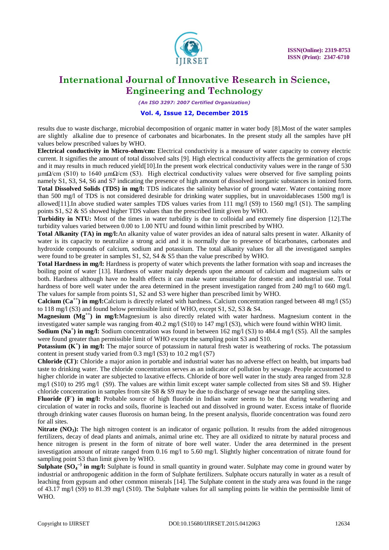

*(An ISO 3297: 2007 Certified Organization)*

### **Vol. 4, Issue 12, December 2015**

results due to waste discharge, microbial decomposition of organic matter in water body [8].Most of the water samples are slightly alkaline due to presence of carbonates and bicarbonates. In the present study all the samples have pH values below prescribed values by WHO.

**Electrical conductivity in Micro-ohm/cm:** Electrical conductivity is a measure of water capacity to convey electric current. It signifies the amount of total dissolved salts [9]. High electrical conductivity affects the germination of crops and it may results in much reduced yield[10].In the present work electrical conductivity values were in the range of 530  $μmΩ/cm$  (S10) to 1640  $μmΩ/cm$  (S3). High electrical conductivity values were observed for five sampling points namely S1, S3, S4, S6 and S7 indicating the presence of high amount of dissolved inorganic substances in ionized form. **Total Dissolved Solids (TDS) in mg/l:** TDS indicates the salinity behavior of ground water. Water containing more than 500 mg/l of TDS is not considered desirable for drinking water supplies, but in unavoidablecases 1500 mg/l is allowed[11].In above studied water samples TDS values varies from 111 mg/l (S9) to 1560 mg/l (S1). The sampling points S1, S2 & S5 showed higher TDS values than the prescribed limit given by WHO.

**Turbidity in NTU:** Most of the times in water turbidity is due to colloidal and extremely fine dispersion [12].The turbidity values varied between 0.00 to 1.00 NTU and found within limit prescribed by WHO.

**Total Alkanity (TA) in mg/l:**An alkanity value of water provides an idea of natural salts present in water. Alkanity of water is its capacity to neutralize a strong acid and it is normally due to presence of bicarbonates, carbonates and hydroxide compounds of calcium, sodium and potassium. The total alkanity values for all the investigated samples were found to be greater in samples  $S1$ ,  $S2$ ,  $S4 \& S5$  than the value prescribed by WHO.

**Total Hardness in mg/l:** Hardness is property of water which prevents the lather formation with soap and increases the boiling point of water [13]. Hardness of water mainly depends upon the amount of calcium and magnesium salts or both. Hardness although have no health effects it can make water unsuitable for domestic and industrial use. Total hardness of bore well water under the area determined in the present investigation ranged from 240 mg/l to 660 mg/l. The values for sample from points S1, S2 and S3 were higher than prescribed limit by WHO.

**Calcium (Ca<sup>++</sup>) in mg/l:**Calcium is directly related with hardness. Calcium concentration ranged between 48 mg/l (S5) to 118 mg/l (S3) and found below permissible limit of WHO, except  $S1$ , S2, S3 & S4.

**Magnesium (Mg<sup>++</sup>) in mg/l:**Magnesium is also directly related with water hardness. Magnesium content in the investigated water sample was ranging from 40.2 mg/l (S10) to 147 mg/l (S3), which were found within WHO limit.

**Sodium (Na<sup>+</sup>) in mg/l:** Sodium concentration was found in between 162 mg/l (S3) to 484.4 mg/l (S5). All the samples were found greater than permissible limit of WHO except the sampling point S3 and S10.

**Potassium (K<sup>+</sup>) in mg/l:** The major source of potassium in natural fresh water is weathering of rocks. The potassium content in present study varied from 0.3 mg/l (S3) to 10.2 mg/l (S7)

Chloride (CI): Chloride a major anion in portable and industrial water has no adverse effect on health, but imparts bad taste to drinking water. The chloride concentration serves as an indicator of pollution by sewage. People accustomed to higher chloride in water are subjected to laxative effects. Chloride of bore well water in the study area ranged from 32.8 mg/l (S10) to 295 mg/l (S9). The values are within limit except water sample collected from sites S8 and S9. Higher chloride concentration in samples from site S8  $\&$  S9 may be due to discharge of sewage near the sampling sites.

Fluoride (F<sup>-</sup>) in mg/l: Probable source of high fluoride in Indian water seems to be that during weathering and circulation of water in rocks and soils, fluorine is leached out and dissolved in ground water. Excess intake of fluoride through drinking water causes fluorosis on human being. In the present analysis, fluoride concentration was found zero for all sites.

**Nitrate (NO<sub>3</sub>):** The high nitrogen content is an indicator of organic pollution. It results from the added nitrogenous fertilizers, decay of dead plants and animals, animal urine etc. They are all oxidized to nitrate by natural process and hence nitrogen is present in the form of nitrate of bore well water. Under the area determined in the present investigation amount of nitrate ranged from 0.16 mg/l to 5.60 mg/l. Slightly higher concentration of nitrate found for sampling point S3 than limit given by WHO.

Sulphate (SO<sub>4</sub><sup>--)</sup> in mg/l: Sulphate is found in small quantity in ground water. Sulphate may come in ground water by industrial or anthropogenic addition in the form of Sulphate fertilizers. Sulphate occurs naturally in water as a result of leaching from gypsum and other common minerals [14]. The Sulphate content in the study area was found in the range of 43.17 mg/l (S9) to 81.39 mg/l (S10). The Sulphate values for all sampling points lie within the permissible limit of WHO.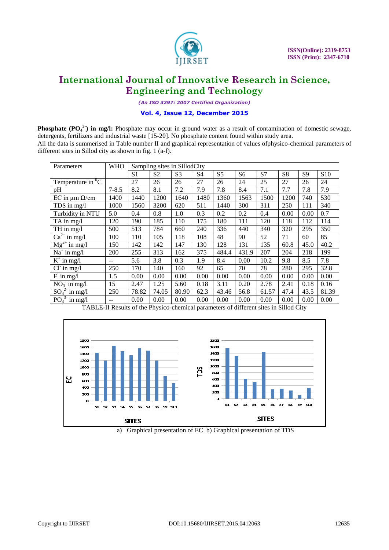

*(An ISO 3297: 2007 Certified Organization)*

### **Vol. 4, Issue 12, December 2015**

**Phosphate (PO<sub>4</sub><sup>3</sup>) in mg/l:** Phosphate may occur in ground water as a result of contamination of domestic sewage, detergents, fertilizers and industrial waste [15-20]. No phosphate content found within study area. All the data is summerised in Table number II and graphical representation of values ofphysico-chemical parameters of different sites in Sillod city as shown in fig. 1 (a-f).

| <b>WHO</b><br>Parameters   |           | Sampling sites in SillodCity |                |                |                |                |                |       |      |      |                 |
|----------------------------|-----------|------------------------------|----------------|----------------|----------------|----------------|----------------|-------|------|------|-----------------|
|                            |           | S <sub>1</sub>               | S <sub>2</sub> | S <sub>3</sub> | S <sub>4</sub> | S <sub>5</sub> | S <sub>6</sub> | S7    | S8   | S9   | S <sub>10</sub> |
| Temperature in ${}^{0}C$   |           | 27                           | 26             | 26             | 27             | 26             | 24             | 25    | 27   | 26   | 24              |
| pH                         | $7 - 8.5$ | 8.2                          | 8.1            | 7.2            | 7.9            | 7.8            | 8.4            | 7.1   | 7.7  | 7.8  | 7.9             |
| EC in $\mu$ m $\Omega$ /cm | 1400      | 1440                         | 1200           | 1640           | 1480           | 1360           | 1563           | 1500  | 1200 | 740  | 530             |
| TDS in mg/l                | 1000      | 1560                         | 3200           | 620            | 511            | 1440           | 300            | 311   | 250  | 111  | 340             |
| Turbidity in NTU           | 5.0       | 0.4                          | 0.8            | 1.0            | 0.3            | 0.2            | 0.2            | 0.4   | 0.00 | 0.00 | 0.7             |
| $TA$ in mg/l               | 120       | 190                          | 185            | 110            | 175            | 180            | 111            | 120   | 118  | 112  | 114             |
| TH in $mg/l$               | 500       | 513                          | 784            | 660            | 240            | 336            | 440            | 340   | 320  | 295  | 350             |
| $Ca^{2+}$ in mg/l          | 100       | 110                          | 105            | 118            | 108            | 48             | 90             | 52    | 71   | 60   | 85              |
| $Mg^{2+}$ in mg/l          | 150       | 142                          | 142            | 147            | 130            | 128            | 131            | 135   | 60.8 | 45.0 | 40.2            |
| $Na+$ in mg/l              | 200       | 255                          | 313            | 162            | 375            | 484.4          | 431.9          | 207   | 204  | 218  | 199             |
| $K^+$ in mg/l              | $- -$     | 5.6                          | 3.8            | 0.3            | 1.9            | 8.4            | 0.00           | 10.2  | 9.8  | 8.5  | 7.8             |
| $Cl-$ in mg/l              | 250       | 170                          | 140            | 160            | 92             | 65             | 70             | 78    | 280  | 295  | 32.8            |
| $F$ in mg/l                | 1.5       | 0.00                         | 0.00           | 0.00           | 0.00           | 0.00           | 0.00           | 0.00  | 0.00 | 0.00 | 0.00            |
| $NO3$ in mg/l              | 15        | 2.47                         | 1.25           | 5.60           | 0.18           | 3.11           | 0.20           | 2.78  | 2.41 | 0.18 | 0.16            |
| $SO_4^2$ in mg/l           | 250       | 78.82                        | 74.05          | 80.90          | 62.3           | 43.46          | 56.8           | 61.57 | 47.4 | 43.5 | 81.39           |
| $PO43$ in mg/l             | $- -$     | 0.00                         | 0.00           | 0.00           | 0.00           | 0.00           | 0.00           | 0.00  | 0.00 | 0.00 | 0.00            |

TABLE-II Results of the Physico-chemical parameters of different sites in Sillod City



a) Graphical presentation of EC b) Graphical presentation of TDS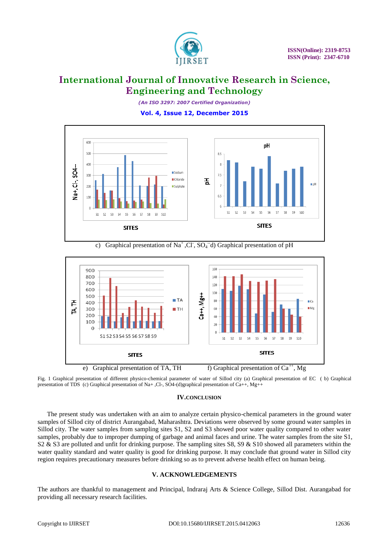

*(An ISO 3297: 2007 Certified Organization)* **Vol. 4, Issue 12, December 2015**



c) Graphical presentation of Na<sup>+</sup>,Cl<sup>-</sup>, SO<sub>4</sub><sup>--</sup>d) Graphical presentation of pH



Fig. 1 Graphical presentation of different physico-chemical parameter of water of Sillod city (a) Graphical presentation of EC ( b) Graphical presentation of TDS (c) Graphical presentation of Na+,Cl-, SO4-(d)graphical presentation of Ca++, Mg++

### **IV.CONCLUSION**

The present study was undertaken with an aim to analyze certain physico-chemical parameters in the ground water samples of Sillod city of district Aurangabad, Maharashtra. Deviations were observed by some ground water samples in Sillod city. The water samples from sampling sites S1, S2 and S3 showed poor water quality compared to other water samples, probably due to improper dumping of garbage and animal faces and urine. The water samples from the site S1, S2 & S3 are polluted and unfit for drinking purpose. The sampling sites S8, S9 & S10 showed all parameters within the water quality standard and water quality is good for drinking purpose. It may conclude that ground water in Sillod city region requires precautionary measures before drinking so as to prevent adverse health effect on human being.

### **V. ACKNOWLEDGEMENTS**

The authors are thankful to management and Principal, Indraraj Arts & Science College, Sillod Dist. Aurangabad for providing all necessary research facilities.